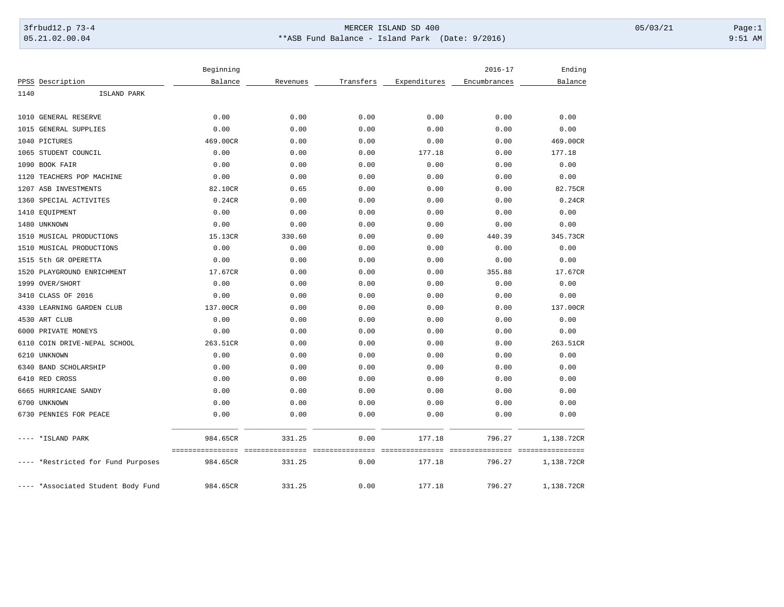## 3frbud12.p 73-4 Page:1 Page:1 05.21.02.00.04 \*\*ASB Fund Balance - Island Park (Date: 9/2016) 9:51 AM

|      |                               | Beginning                    |                         |                         |                           | $2016 - 17$               | Ending                         |
|------|-------------------------------|------------------------------|-------------------------|-------------------------|---------------------------|---------------------------|--------------------------------|
|      | PPSS Description              | Balance                      | Revenues                | Transfers               | Expenditures              | Encumbrances              | Balance                        |
| 1140 | ISLAND PARK                   |                              |                         |                         |                           |                           |                                |
|      | 1010 GENERAL RESERVE          | 0.00                         | 0.00                    | 0.00                    | 0.00                      | 0.00                      | 0.00                           |
|      | 1015 GENERAL SUPPLIES         | 0.00                         | 0.00                    | 0.00                    | 0.00                      | 0.00                      | 0.00                           |
|      | 1040 PICTURES                 | 469.00CR                     | 0.00                    | 0.00                    | 0.00                      | 0.00                      | 469.00CR                       |
|      | 1065 STUDENT COUNCIL          | 0.00                         | 0.00                    | 0.00                    | 177.18                    | 0.00                      | 177.18                         |
| 1090 | BOOK FAIR                     | 0.00                         | 0.00                    | 0.00                    | 0.00                      | 0.00                      | 0.00                           |
| 1120 | TEACHERS POP MACHINE          | 0.00                         | 0.00                    | 0.00                    | 0.00                      | 0.00                      | 0.00                           |
|      | 1207 ASB INVESTMENTS          | 82.10CR                      | 0.65                    | 0.00                    | 0.00                      | 0.00                      | 82.75CR                        |
| 1360 | SPECIAL ACTIVITES             | 0.24CR                       | 0.00                    | 0.00                    | 0.00                      | 0.00                      | 0.24CR                         |
|      | 1410 EQUIPMENT                | 0.00                         | 0.00                    | 0.00                    | 0.00                      | 0.00                      | 0.00                           |
|      | 1480 UNKNOWN                  | 0.00                         | 0.00                    | 0.00                    | 0.00                      | 0.00                      | 0.00                           |
|      | 1510 MUSICAL PRODUCTIONS      | 15.13CR                      | 330.60                  | 0.00                    | 0.00                      | 440.39                    | 345.73CR                       |
|      | 1510 MUSICAL PRODUCTIONS      | 0.00                         | 0.00                    | 0.00                    | 0.00                      | 0.00                      | 0.00                           |
|      | 1515 5th GR OPERETTA          | 0.00                         | 0.00                    | 0.00                    | 0.00                      | 0.00                      | 0.00                           |
| 1520 | PLAYGROUND ENRICHMENT         | 17.67CR                      | 0.00                    | 0.00                    | 0.00                      | 355.88                    | 17.67CR                        |
| 1999 | OVER/SHORT                    | 0.00                         | 0.00                    | 0.00                    | 0.00                      | 0.00                      | 0.00                           |
| 3410 | CLASS OF 2016                 | 0.00                         | 0.00                    | 0.00                    | 0.00                      | 0.00                      | 0.00                           |
| 4330 | LEARNING GARDEN CLUB          | 137.00CR                     | 0.00                    | 0.00                    | 0.00                      | 0.00                      | 137.00CR                       |
|      | 4530 ART CLUB                 | 0.00                         | 0.00                    | 0.00                    | 0.00                      | 0.00                      | 0.00                           |
|      | 6000 PRIVATE MONEYS           | 0.00                         | 0.00                    | 0.00                    | 0.00                      | 0.00                      | 0.00                           |
| 6110 | COIN DRIVE-NEPAL SCHOOL       | 263.51CR                     | 0.00                    | 0.00                    | 0.00                      | 0.00                      | 263.51CR                       |
| 6210 | UNKNOWN                       | 0.00                         | 0.00                    | 0.00                    | 0.00                      | 0.00                      | 0.00                           |
|      | 6340 BAND SCHOLARSHIP         | 0.00                         | 0.00                    | 0.00                    | 0.00                      | 0.00                      | 0.00                           |
|      | 6410 RED CROSS                | 0.00                         | 0.00                    | 0.00                    | 0.00                      | 0.00                      | 0.00                           |
|      | 6665 HURRICANE SANDY          | 0.00                         | 0.00                    | 0.00                    | 0.00                      | 0.00                      | 0.00                           |
|      | 6700 UNKNOWN                  | 0.00                         | 0.00                    | 0.00                    | 0.00                      | 0.00                      | 0.00                           |
|      | 6730 PENNIES FOR PEACE        | 0.00                         | 0.00                    | 0.00                    | 0.00                      | 0.00                      | 0.00                           |
|      | *ISLAND PARK                  | 984.65CR                     | 331.25                  | 0.00                    | 177.18                    | 796.27                    | 1,138.72CR                     |
|      | *Restricted for Fund Purposes | ================<br>984.65CR | =============<br>331.25 | ===============<br>0.00 | ===============<br>177.18 | ===============<br>796.27 | ----------------<br>1,138.72CR |
|      | *Associated Student Body Fund | 984.65CR                     | 331.25                  | 0.00                    | 177.18                    | 796.27                    | 1,138.72CR                     |